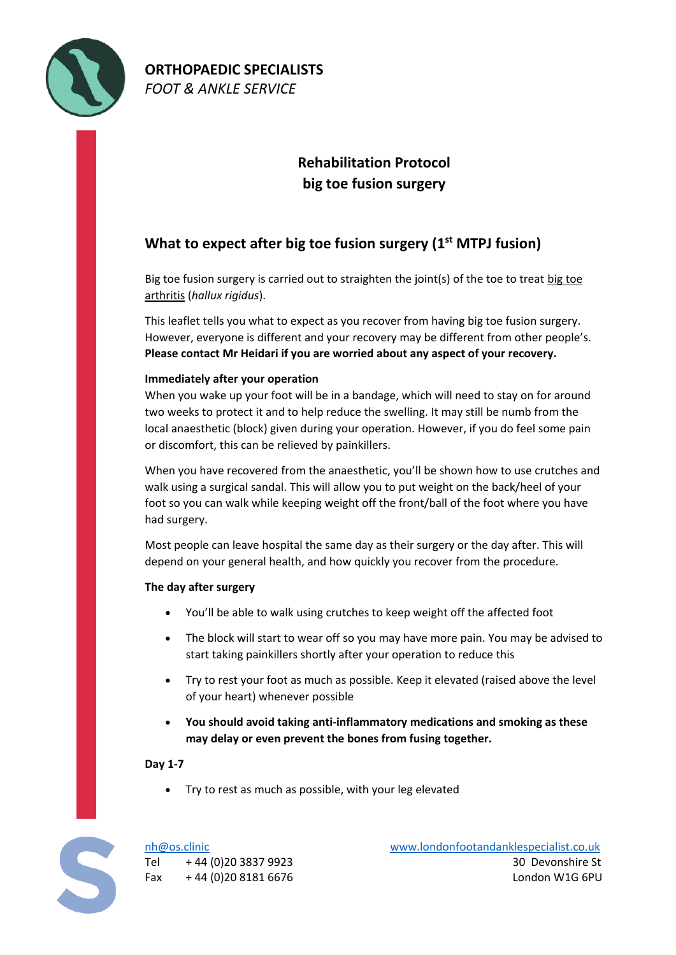

# **Rehabilitation Protocol big toe fusion surgery**

# **What to expect after big toe fusion surgery (1st MTPJ fusion)**

Big toe fusion surgery is carried out to straighten the joint(s) of the toe to treat big toe [arthritis](http://www.londonfootandanklespecialist.co.uk/foot-ankle/common-conditions/arthritis/big-toe-arthritis-hallux-rigidus/) (*hallux rigidus*).

This leaflet tells you what to expect as you recover from having big toe fusion surgery. However, everyone is different and your recovery may be different from other people's. **Please contact Mr Heidari if you are worried about any aspect of your recovery.**

# **Immediately after your operation**

When you wake up your foot will be in a bandage, which will need to stay on for around two weeks to protect it and to help reduce the swelling. It may still be numb from the local anaesthetic (block) given during your operation. However, if you do feel some pain or discomfort, this can be relieved by painkillers.

When you have recovered from the anaesthetic, you'll be shown how to use crutches and walk using a surgical sandal. This will allow you to put weight on the back/heel of your foot so you can walk while keeping weight off the front/ball of the foot where you have had surgery.

Most people can leave hospital the same day as their surgery or the day after. This will depend on your general health, and how quickly you recover from the procedure.

# **The day after surgery**

- You'll be able to walk using crutches to keep weight off the affected foot
- The block will start to wear off so you may have more pain. You may be advised to start taking painkillers shortly after your operation to reduce this
- Try to rest your foot as much as possible. Keep it elevated (raised above the level of your heart) whenever possible
- **You should avoid taking anti-inflammatory medications and smoking as these may delay or even prevent the bones from fusing together.**

# **Day 1-7**

Try to rest as much as possible, with your leg elevated



[nh@os.clinic](mailto:nh@os.clinic) [www.londonfootandanklespecialist.co.uk](http://www.londonfootandanklespecialist.co.uk/) Tel + 44 (0)20 3837 9923 30 Devonshire St Fax + 44 (0)20 8181 6676 London W1G 6PU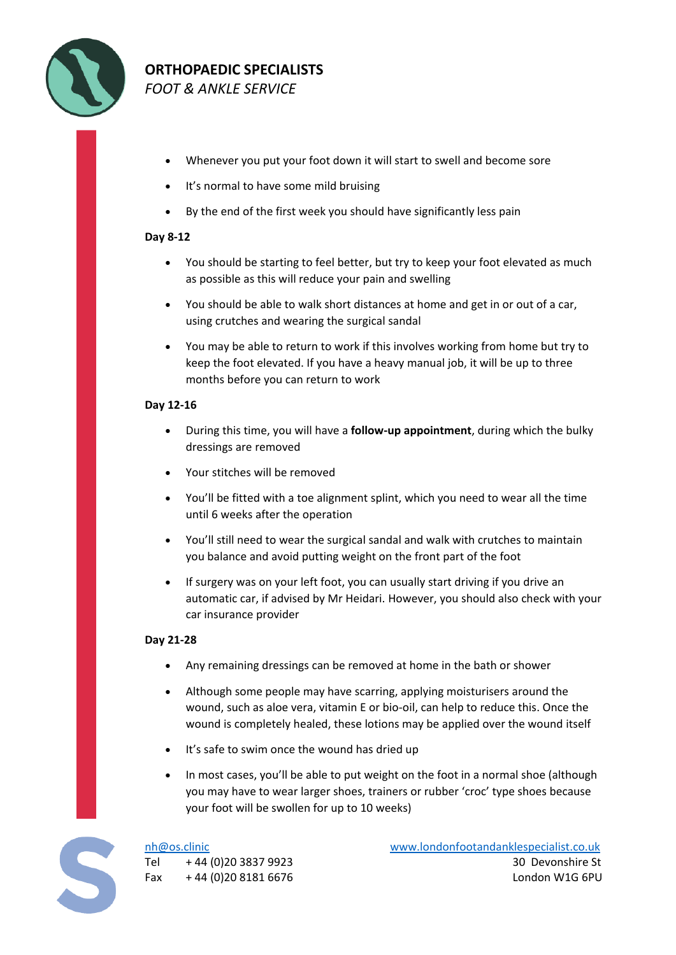

- Whenever you put your foot down it will start to swell and become sore
- It's normal to have some mild bruising
- By the end of the first week you should have significantly less pain

### **Day 8-12**

- You should be starting to feel better, but try to keep your foot elevated as much as possible as this will reduce your pain and swelling
- You should be able to walk short distances at home and get in or out of a car, using crutches and wearing the surgical sandal
- You may be able to return to work if this involves working from home but try to keep the foot elevated. If you have a heavy manual job, it will be up to three months before you can return to work

# **Day 12-16**

- During this time, you will have a **follow-up appointment**, during which the bulky dressings are removed
- Your stitches will be removed
- You'll be fitted with a toe alignment splint, which you need to wear all the time until 6 weeks after the operation
- You'll still need to wear the surgical sandal and walk with crutches to maintain you balance and avoid putting weight on the front part of the foot
- If surgery was on your left foot, you can usually start driving if you drive an automatic car, if advised by Mr Heidari. However, you should also check with your car insurance provider

### **Day 21-28**

- Any remaining dressings can be removed at home in the bath or shower
- Although some people may have scarring, applying moisturisers around the wound, such as aloe vera, vitamin E or bio-oil, can help to reduce this. Once the wound is completely healed, these lotions may be applied over the wound itself
- It's safe to swim once the wound has dried up
- In most cases, you'll be able to put weight on the foot in a normal shoe (although you may have to wear larger shoes, trainers or rubber 'croc' type shoes because your foot will be swollen for up to 10 weeks)

[nh@os.clinic](mailto:nh@os.clinic) [www.londonfootandanklespecialist.co.uk](http://www.londonfootandanklespecialist.co.uk/) Tel + 44 (0)20 3837 9923 30 Devonshire St Fax + 44 (0)20 8181 6676 London W1G 6PU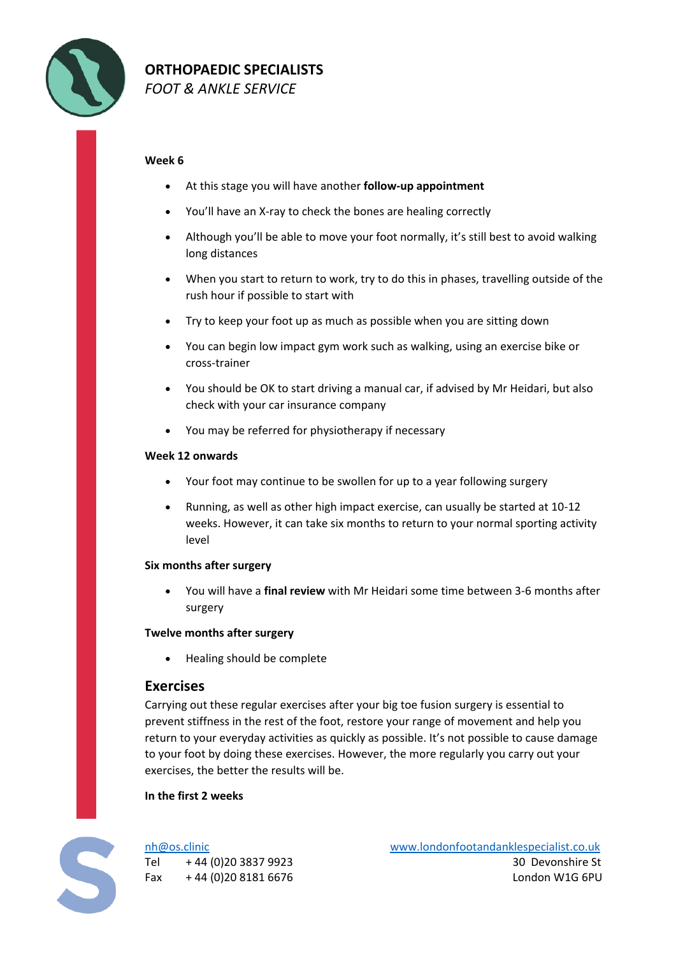

### **Week 6**

- At this stage you will have another **follow-up appointment**
- You'll have an X-ray to check the bones are healing correctly
- Although you'll be able to move your foot normally, it's still best to avoid walking long distances
- When you start to return to work, try to do this in phases, travelling outside of the rush hour if possible to start with
- Try to keep your foot up as much as possible when you are sitting down
- You can begin low impact gym work such as walking, using an exercise bike or cross-trainer
- You should be OK to start driving a manual car, if advised by Mr Heidari, but also check with your car insurance company
- You may be referred for physiotherapy if necessary

### **Week 12 onwards**

- Your foot may continue to be swollen for up to a year following surgery
- Running, as well as other high impact exercise, can usually be started at 10-12 weeks. However, it can take six months to return to your normal sporting activity level

### **Six months after surgery**

 You will have a **final review** with Mr Heidari some time between 3-6 months after surgery

### **Twelve months after surgery**

Healing should be complete

# **Exercises**

Carrying out these regular exercises after your big toe fusion surgery is essential to prevent stiffness in the rest of the foot, restore your range of movement and help you return to your everyday activities as quickly as possible. It's not possible to cause damage to your foot by doing these exercises. However, the more regularly you carry out your exercises, the better the results will be.

### **In the first 2 weeks**